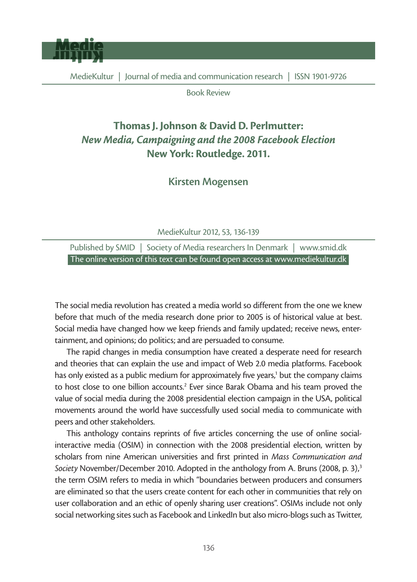

Book Review

## Thomas J. Johnson & David D. Perlmutter: *New Media, Campaigning and the 2008 Facebook Election* New York: Routledge. 2011.

Kirsten Mogensen

MedieKultur 2012, 53, 136-139

Published by SMID | Society of Media researchers In Denmark | www.smid.dk The online version of this text can be found open access at www.mediekultur.dk

The social media revolution has created a media world so different from the one we knew before that much of the media research done prior to 2005 is of historical value at best. Social media have changed how we keep friends and family updated; receive news, entertainment, and opinions; do politics; and are persuaded to consume.

The rapid changes in media consumption have created a desperate need for research and theories that can explain the use and impact of Web 2.0 media platforms. Facebook has only existed as a public medium for approximately five years,<sup>1</sup> but the company claims to host close to one billion accounts.<sup>2</sup> Ever since Barak Obama and his team proved the value of social media during the 2008 presidential election campaign in the USA, political movements around the world have successfully used social media to communicate with peers and other stakeholders.

This anthology contains reprints of five articles concerning the use of online socialinteractive media (OSIM) in connection with the 2008 presidential election, written by scholars from nine American universities and first printed in *Mass Communication and Society* November/December 2010. Adopted in the anthology from A. Bruns (2008, p. 3),<sup>3</sup> the term OSIM refers to media in which "boundaries between producers and consumers are eliminated so that the users create content for each other in communities that rely on user collaboration and an ethic of openly sharing user creations". OSIMs include not only social networking sites such as Facebook and LinkedIn but also micro-blogs such as Twitter,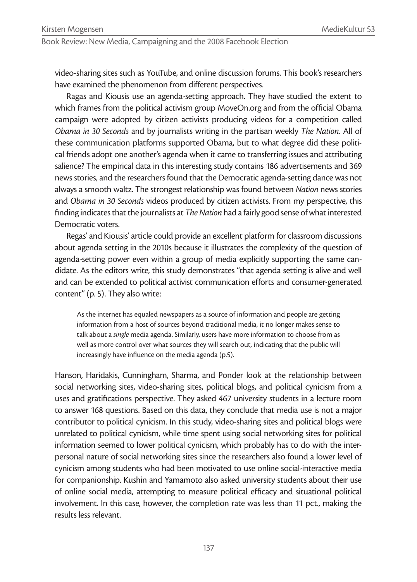Book Review: New Media, Campaigning and the 2008 Facebook Election

video-sharing sites such as YouTube, and online discussion forums. This book's researchers have examined the phenomenon from different perspectives.

Ragas and Kiousis use an agenda-setting approach. They have studied the extent to which frames from the political activism group MoveOn.org and from the official Obama campaign were adopted by citizen activists producing videos for a competition called *Obama in 30 Seconds* and by journalists writing in the partisan weekly *The Nation*. All of these communication platforms supported Obama, but to what degree did these political friends adopt one another's agenda when it came to transferring issues and attributing salience? The empirical data in this interesting study contains 186 advertisements and 369 news stories, and the researchers found that the Democratic agenda-setting dance was not always a smooth waltz. The strongest relationship was found between *Nation* news stories and *Obama in 30 Seconds* videos produced by citizen activists. From my perspective, this finding indicates that the journalists at *The Nation* had a fairly good sense of what interested Democratic voters.

Regas' and Kiousis' article could provide an excellent platform for classroom discussions about agenda setting in the 2010s because it illustrates the complexity of the question of agenda-setting power even within a group of media explicitly supporting the same candidate. As the editors write, this study demonstrates "that agenda setting is alive and well and can be extended to political activist communication efforts and consumer-generated content" (p. 5). They also write:

As the internet has equaled newspapers as a source of information and people are getting information from a host of sources beyond traditional media, it no longer makes sense to talk about a *single* media agenda. Similarly, users have more information to choose from as well as more control over what sources they will search out, indicating that the public will increasingly have influence on the media agenda (p.5).

Hanson, Haridakis, Cunningham, Sharma, and Ponder look at the relationship between social networking sites, video-sharing sites, political blogs, and political cynicism from a uses and gratifications perspective. They asked 467 university students in a lecture room to answer 168 questions. Based on this data, they conclude that media use is not a major contributor to political cynicism. In this study, video-sharing sites and political blogs were unrelated to political cynicism, while time spent using social networking sites for political information seemed to lower political cynicism, which probably has to do with the interpersonal nature of social networking sites since the researchers also found a lower level of cynicism among students who had been motivated to use online social-interactive media for companionship. Kushin and Yamamoto also asked university students about their use of online social media, attempting to measure political efficacy and situational political involvement. In this case, however, the completion rate was less than 11 pct., making the results less relevant.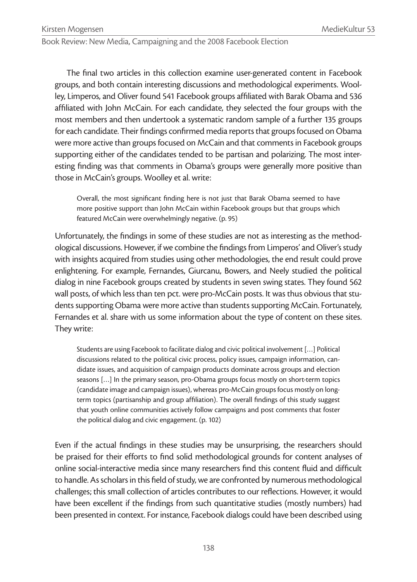Book Review: New Media, Campaigning and the 2008 Facebook Election

The final two articles in this collection examine user-generated content in Facebook groups, and both contain interesting discussions and methodological experiments. Woolley, Limperos, and Oliver found 541 Facebook groups affiliated with Barak Obama and 536 affiliated with John McCain. For each candidate, they selected the four groups with the most members and then undertook a systematic random sample of a further 135 groups for each candidate. Their findings confirmed media reports that groups focused on Obama were more active than groups focused on McCain and that comments in Facebook groups supporting either of the candidates tended to be partisan and polarizing. The most interesting finding was that comments in Obama's groups were generally more positive than those in McCain's groups. Woolley et al. write:

Overall, the most significant finding here is not just that Barak Obama seemed to have more positive support than John McCain within Facebook groups but that groups which featured McCain were overwhelmingly negative. (p. 95)

Unfortunately, the findings in some of these studies are not as interesting as the methodological discussions. However, if we combine the findings from Limperos' and Oliver's study with insights acquired from studies using other methodologies, the end result could prove enlightening. For example, Fernandes, Giurcanu, Bowers, and Neely studied the political dialog in nine Facebook groups created by students in seven swing states. They found 562 wall posts, of which less than ten pct. were pro-McCain posts. It was thus obvious that students supporting Obama were more active than students supporting McCain. Fortunately, Fernandes et al. share with us some information about the type of content on these sites. They write:

Students are using Facebook to facilitate dialog and civic political involvement […] Political discussions related to the political civic process, policy issues, campaign information, candidate issues, and acquisition of campaign products dominate across groups and election seasons […] In the primary season, pro-Obama groups focus mostly on short-term topics (candidate image and campaign issues), whereas pro-McCain groups focus mostly on longterm topics (partisanship and group affiliation). The overall findings of this study suggest that youth online communities actively follow campaigns and post comments that foster the political dialog and civic engagement. (p. 102)

Even if the actual findings in these studies may be unsurprising, the researchers should be praised for their efforts to find solid methodological grounds for content analyses of online social-interactive media since many researchers find this content fluid and difficult to handle. As scholars in this field of study, we are confronted by numerous methodological challenges; this small collection of articles contributes to our reflections. However, it would have been excellent if the findings from such quantitative studies (mostly numbers) had been presented in context. For instance, Facebook dialogs could have been described using